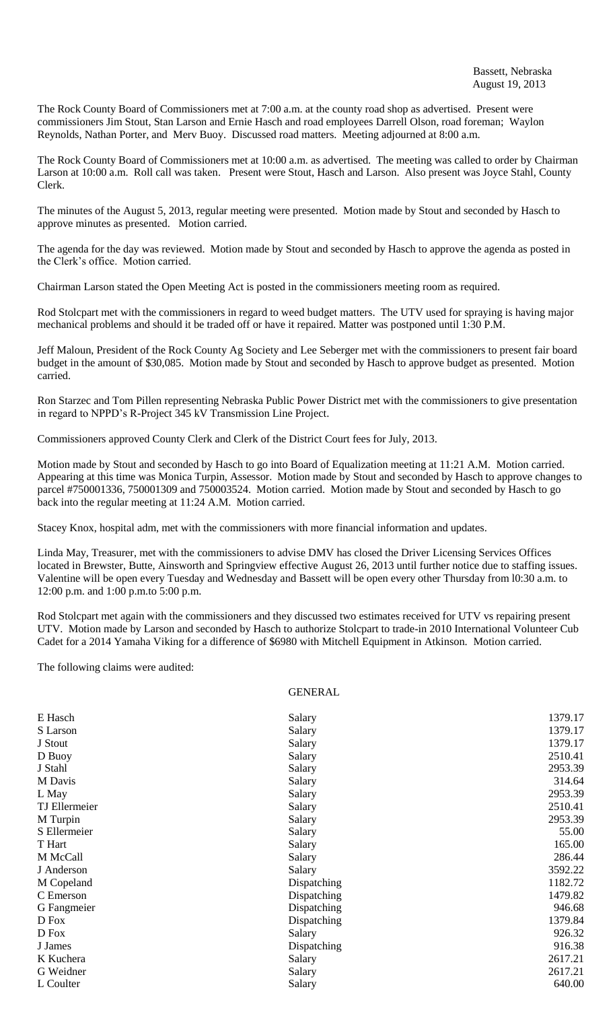The Rock County Board of Commissioners met at 7:00 a.m. at the county road shop as advertised. Present were commissioners Jim Stout, Stan Larson and Ernie Hasch and road employees Darrell Olson, road foreman; Waylon Reynolds, Nathan Porter, and Merv Buoy. Discussed road matters. Meeting adjourned at 8:00 a.m.

The Rock County Board of Commissioners met at 10:00 a.m. as advertised. The meeting was called to order by Chairman Larson at 10:00 a.m. Roll call was taken. Present were Stout, Hasch and Larson. Also present was Joyce Stahl, County Clerk.

The minutes of the August 5, 2013, regular meeting were presented. Motion made by Stout and seconded by Hasch to approve minutes as presented. Motion carried.

The agenda for the day was reviewed. Motion made by Stout and seconded by Hasch to approve the agenda as posted in the Clerk's office. Motion carried.

Chairman Larson stated the Open Meeting Act is posted in the commissioners meeting room as required.

Rod Stolcpart met with the commissioners in regard to weed budget matters. The UTV used for spraying is having major mechanical problems and should it be traded off or have it repaired. Matter was postponed until 1:30 P.M.

Jeff Maloun, President of the Rock County Ag Society and Lee Seberger met with the commissioners to present fair board budget in the amount of \$30,085. Motion made by Stout and seconded by Hasch to approve budget as presented. Motion carried.

Ron Starzec and Tom Pillen representing Nebraska Public Power District met with the commissioners to give presentation in regard to NPPD's R-Project 345 kV Transmission Line Project.

Commissioners approved County Clerk and Clerk of the District Court fees for July, 2013.

Motion made by Stout and seconded by Hasch to go into Board of Equalization meeting at 11:21 A.M. Motion carried. Appearing at this time was Monica Turpin, Assessor. Motion made by Stout and seconded by Hasch to approve changes to parcel #750001336, 750001309 and 750003524. Motion carried. Motion made by Stout and seconded by Hasch to go back into the regular meeting at 11:24 A.M. Motion carried.

Stacey Knox, hospital adm, met with the commissioners with more financial information and updates.

Linda May, Treasurer, met with the commissioners to advise DMV has closed the Driver Licensing Services Offices located in Brewster, Butte, Ainsworth and Springview effective August 26, 2013 until further notice due to staffing issues. Valentine will be open every Tuesday and Wednesday and Bassett will be open every other Thursday from l0:30 a.m. to 12:00 p.m. and 1:00 p.m.to 5:00 p.m.

Rod Stolcpart met again with the commissioners and they discussed two estimates received for UTV vs repairing present UTV. Motion made by Larson and seconded by Hasch to authorize Stolcpart to trade-in 2010 International Volunteer Cub Cadet for a 2014 Yamaha Viking for a difference of \$6980 with Mitchell Equipment in Atkinson. Motion carried.

GENERAL

The following claims were audited:

| E Hasch       | Salary      | 1379.17 |
|---------------|-------------|---------|
| S Larson      | Salary      | 1379.17 |
| J Stout       | Salary      | 1379.17 |
| D Buoy        | Salary      | 2510.41 |
| J Stahl       | Salary      | 2953.39 |
| M Davis       | Salary      | 314.64  |
| L May         | Salary      | 2953.39 |
| TJ Ellermeier | Salary      | 2510.41 |
| M Turpin      | Salary      | 2953.39 |
| S Ellermeier  | Salary      | 55.00   |
| T Hart        | Salary      | 165.00  |
| M McCall      | Salary      | 286.44  |
| J Anderson    | Salary      | 3592.22 |
| M Copeland    | Dispatching | 1182.72 |
| C Emerson     | Dispatching | 1479.82 |
| G Fangmeier   | Dispatching | 946.68  |
| D Fox         | Dispatching | 1379.84 |
| D Fox         | Salary      | 926.32  |
| J James       | Dispatching | 916.38  |
| K Kuchera     | Salary      | 2617.21 |
| G Weidner     | Salary      | 2617.21 |
| L Coulter     | Salary      | 640.00  |
|               |             |         |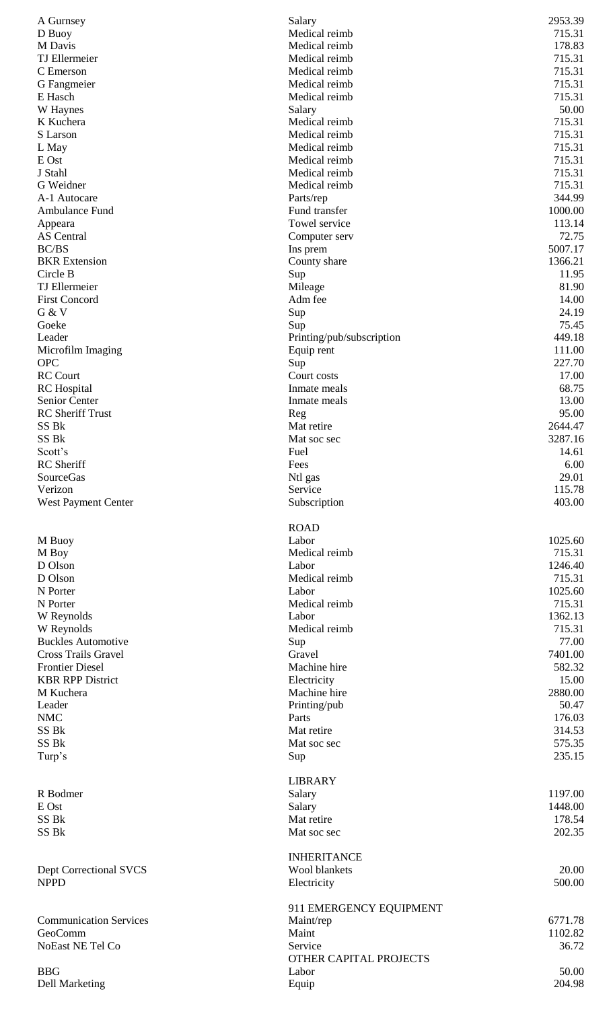| A Gurnsey                     | Salary                    | 2953.39            |
|-------------------------------|---------------------------|--------------------|
| D Buoy                        | Medical reimb             | 715.31             |
| M Davis                       | Medical reimb             | 178.83             |
| TJ Ellermeier                 | Medical reimb             | 715.31             |
| C Emerson                     | Medical reimb             | 715.31             |
| G Fangmeier                   | Medical reimb             | 715.31             |
| E Hasch                       | Medical reimb             | 715.31             |
| W Haynes                      | Salary                    | 50.00              |
| K Kuchera                     | Medical reimb             | 715.31             |
| S Larson                      | Medical reimb             | 715.31             |
| L May                         | Medical reimb             | 715.31             |
| E Ost                         | Medical reimb             | 715.31             |
| J Stahl                       | Medical reimb             | 715.31             |
| G Weidner                     | Medical reimb             | 715.31             |
| A-1 Autocare                  | Parts/rep                 | 344.99             |
| Ambulance Fund                | Fund transfer             | 1000.00            |
| Appeara                       | Towel service             | 113.14             |
| <b>AS</b> Central             | Computer serv             | 72.75              |
| <b>BC/BS</b>                  | Ins prem                  | 5007.17            |
| <b>BKR</b> Extension          | County share              | 1366.21            |
| Circle B                      | Sup                       | 11.95              |
| TJ Ellermeier                 | Mileage                   | 81.90              |
| <b>First Concord</b>          | Adm fee                   | 14.00              |
| G & V                         | Sup                       | 24.19              |
| Goeke                         | Sup                       | 75.45              |
| Leader                        | Printing/pub/subscription | 449.18             |
| Microfilm Imaging             | Equip rent                | 111.00             |
| <b>OPC</b>                    | Sup                       | 227.70             |
| <b>RC</b> Court               | Court costs               | 17.00              |
| <b>RC</b> Hospital            | Inmate meals              | 68.75              |
| Senior Center                 | Inmate meals              | 13.00              |
| <b>RC</b> Sheriff Trust       | Reg                       | 95.00              |
| SS Bk<br>SS Bk                | Mat retire                | 2644.47<br>3287.16 |
| Scott's                       | Mat soc sec<br>Fuel       | 14.61              |
| RC Sheriff                    | Fees                      | 6.00               |
| SourceGas                     | Ntl gas                   | 29.01              |
| Verizon                       | Service                   | 115.78             |
| West Payment Center           | Subscription              | 403.00             |
|                               |                           |                    |
|                               | <b>ROAD</b>               |                    |
| M Buoy                        | Labor                     | 1025.60            |
| M Boy                         | Medical reimb             | 715.31             |
| D Olson                       | Labor                     | 1246.40            |
| D Olson                       | Medical reimb             | 715.31             |
| N Porter                      | Labor                     | 1025.60            |
| N Porter                      | Medical reimb             | 715.31             |
| W Reynolds                    | Labor                     | 1362.13            |
| W Reynolds                    | Medical reimb             | 715.31             |
| <b>Buckles Automotive</b>     | Sup                       | 77.00              |
| <b>Cross Trails Gravel</b>    | Gravel                    | 7401.00            |
| <b>Frontier Diesel</b>        | Machine hire              | 582.32             |
| <b>KBR RPP District</b>       | Electricity               | 15.00              |
| M Kuchera                     | Machine hire              | 2880.00            |
| Leader                        | Printing/pub              | 50.47              |
| <b>NMC</b>                    | Parts                     | 176.03             |
| SS Bk                         | Mat retire                | 314.53             |
| SS Bk                         | Mat soc sec               | 575.35             |
| Turp's                        | Sup                       | 235.15             |
|                               |                           |                    |
|                               | <b>LIBRARY</b>            |                    |
| R Bodmer                      | Salary                    | 1197.00            |
| E Ost                         | Salary                    | 1448.00            |
| SS Bk                         | Mat retire                | 178.54             |
| SS Bk                         | Mat soc sec               | 202.35             |
|                               |                           |                    |
|                               | <b>INHERITANCE</b>        |                    |
| <b>Dept Correctional SVCS</b> | <b>Wool blankets</b>      | 20.00              |
| <b>NPPD</b>                   | Electricity               | 500.00             |
|                               |                           |                    |
|                               | 911 EMERGENCY EQUIPMENT   |                    |
| <b>Communication Services</b> | Maint/rep                 | 6771.78            |
| GeoComm                       | Maint                     | 1102.82            |
| NoEast NE Tel Co              | Service                   | 36.72              |
|                               | OTHER CAPITAL PROJECTS    |                    |
| <b>BBG</b>                    | Labor                     | 50.00              |
| <b>Dell Marketing</b>         | Equip                     | 204.98             |